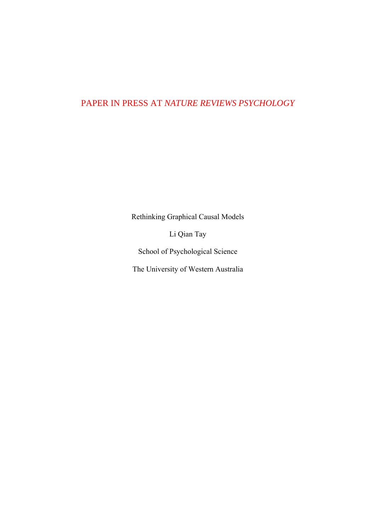## PAPER IN PRESS AT *NATURE REVIEWS PSYCHOLOGY*

Rethinking Graphical Causal Models

Li Qian Tay

School of Psychological Science

The University of Western Australia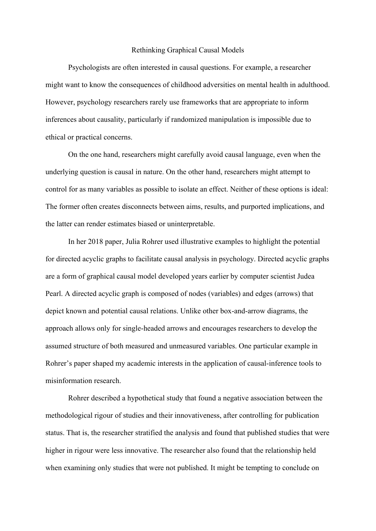## Rethinking Graphical Causal Models

Psychologists are often interested in causal questions. For example, a researcher might want to know the consequences of childhood adversities on mental health in adulthood. However, psychology researchers rarely use frameworks that are appropriate to inform inferences about causality, particularly if randomized manipulation is impossible due to ethical or practical concerns.

On the one hand, researchers might carefully avoid causal language, even when the underlying question is causal in nature. On the other hand, researchers might attempt to control for as many variables as possible to isolate an effect. Neither of these options is ideal: The former often creates disconnects between aims, results, and purported implications, and the latter can render estimates biased or uninterpretable.

In her 2018 paper, Julia Rohrer used illustrative examples to highlight the potential for directed acyclic graphs to facilitate causal analysis in psychology. Directed acyclic graphs are a form of graphical causal model developed years earlier by computer scientist Judea Pearl. A directed acyclic graph is composed of nodes (variables) and edges (arrows) that depict known and potential causal relations. Unlike other box-and-arrow diagrams, the approach allows only for single-headed arrows and encourages researchers to develop the assumed structure of both measured and unmeasured variables. One particular example in Rohrer's paper shaped my academic interests in the application of causal-inference tools to misinformation research.

Rohrer described a hypothetical study that found a negative association between the methodological rigour of studies and their innovativeness, after controlling for publication status. That is, the researcher stratified the analysis and found that published studies that were higher in rigour were less innovative. The researcher also found that the relationship held when examining only studies that were not published. It might be tempting to conclude on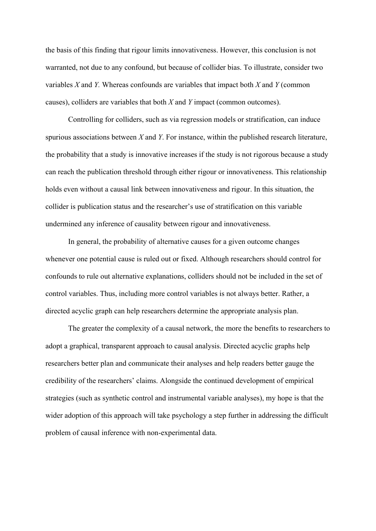the basis of this finding that rigour limits innovativeness. However, this conclusion is not warranted, not due to any confound, but because of collider bias. To illustrate, consider two variables *X* and *Y.* Whereas confounds are variables that impact both *X* and *Y* (common causes), colliders are variables that both *X* and *Y* impact (common outcomes).

Controlling for colliders, such as via regression models or stratification, can induce spurious associations between *X* and *Y*. For instance, within the published research literature, the probability that a study is innovative increases if the study is not rigorous because a study can reach the publication threshold through either rigour or innovativeness. This relationship holds even without a causal link between innovativeness and rigour. In this situation, the collider is publication status and the researcher's use of stratification on this variable undermined any inference of causality between rigour and innovativeness.

In general, the probability of alternative causes for a given outcome changes whenever one potential cause is ruled out or fixed. Although researchers should control for confounds to rule out alternative explanations, colliders should not be included in the set of control variables. Thus, including more control variables is not always better. Rather, a directed acyclic graph can help researchers determine the appropriate analysis plan.

The greater the complexity of a causal network, the more the benefits to researchers to adopt a graphical, transparent approach to causal analysis. Directed acyclic graphs help researchers better plan and communicate their analyses and help readers better gauge the credibility of the researchers' claims. Alongside the continued development of empirical strategies (such as synthetic control and instrumental variable analyses), my hope is that the wider adoption of this approach will take psychology a step further in addressing the difficult problem of causal inference with non-experimental data.